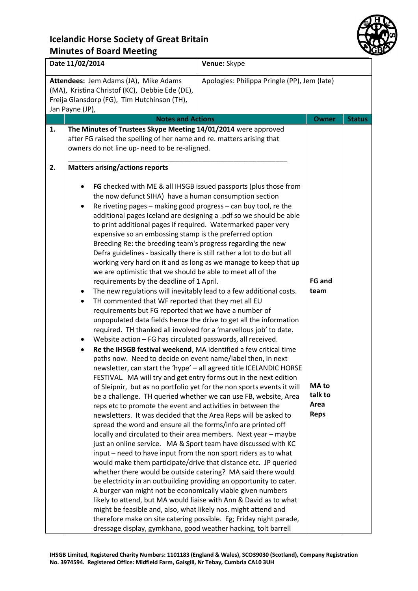

| Date 11/02/2014<br>Venue: Skype                                                                                                                                                                           |                                                                                                                                                                                                                                                                                                                                                                                                                                                                                                                                                                                                                                                                                                                                                                                                                                                                                                                                                                                                                                                                                                                                                                                                                                                                                                                                                                                                                                                                                                                                                                                                                                                                                                                                                                                                                                                                                                                    |                                                                                                                                                                                                                                                                                                                                                                                                                                                                                                                                                                            |                                                                  |               |
|-----------------------------------------------------------------------------------------------------------------------------------------------------------------------------------------------------------|--------------------------------------------------------------------------------------------------------------------------------------------------------------------------------------------------------------------------------------------------------------------------------------------------------------------------------------------------------------------------------------------------------------------------------------------------------------------------------------------------------------------------------------------------------------------------------------------------------------------------------------------------------------------------------------------------------------------------------------------------------------------------------------------------------------------------------------------------------------------------------------------------------------------------------------------------------------------------------------------------------------------------------------------------------------------------------------------------------------------------------------------------------------------------------------------------------------------------------------------------------------------------------------------------------------------------------------------------------------------------------------------------------------------------------------------------------------------------------------------------------------------------------------------------------------------------------------------------------------------------------------------------------------------------------------------------------------------------------------------------------------------------------------------------------------------------------------------------------------------------------------------------------------------|----------------------------------------------------------------------------------------------------------------------------------------------------------------------------------------------------------------------------------------------------------------------------------------------------------------------------------------------------------------------------------------------------------------------------------------------------------------------------------------------------------------------------------------------------------------------------|------------------------------------------------------------------|---------------|
| Attendees: Jem Adams (JA), Mike Adams<br>Apologies: Philippa Pringle (PP), Jem (late)<br>(MA), Kristina Christof (KC), Debbie Ede (DE),<br>Freija Glansdorp (FG), Tim Hutchinson (TH),<br>Jan Payne (JP), |                                                                                                                                                                                                                                                                                                                                                                                                                                                                                                                                                                                                                                                                                                                                                                                                                                                                                                                                                                                                                                                                                                                                                                                                                                                                                                                                                                                                                                                                                                                                                                                                                                                                                                                                                                                                                                                                                                                    |                                                                                                                                                                                                                                                                                                                                                                                                                                                                                                                                                                            |                                                                  |               |
|                                                                                                                                                                                                           | <b>Notes and Actions</b>                                                                                                                                                                                                                                                                                                                                                                                                                                                                                                                                                                                                                                                                                                                                                                                                                                                                                                                                                                                                                                                                                                                                                                                                                                                                                                                                                                                                                                                                                                                                                                                                                                                                                                                                                                                                                                                                                           |                                                                                                                                                                                                                                                                                                                                                                                                                                                                                                                                                                            | <b>Owner</b>                                                     | <b>Status</b> |
| 1.                                                                                                                                                                                                        | The Minutes of Trustees Skype Meeting 14/01/2014 were approved<br>after FG raised the spelling of her name and re. matters arising that<br>owners do not line up- need to be re-aligned.                                                                                                                                                                                                                                                                                                                                                                                                                                                                                                                                                                                                                                                                                                                                                                                                                                                                                                                                                                                                                                                                                                                                                                                                                                                                                                                                                                                                                                                                                                                                                                                                                                                                                                                           |                                                                                                                                                                                                                                                                                                                                                                                                                                                                                                                                                                            |                                                                  |               |
| 2.                                                                                                                                                                                                        | <b>Matters arising/actions reports</b>                                                                                                                                                                                                                                                                                                                                                                                                                                                                                                                                                                                                                                                                                                                                                                                                                                                                                                                                                                                                                                                                                                                                                                                                                                                                                                                                                                                                                                                                                                                                                                                                                                                                                                                                                                                                                                                                             |                                                                                                                                                                                                                                                                                                                                                                                                                                                                                                                                                                            |                                                                  |               |
|                                                                                                                                                                                                           | the now defunct SIHA) have a human consumption section<br>Re riveting pages - making good progress - can buy tool, re the<br>$\bullet$<br>to print additional pages if required. Watermarked paper very<br>expensive so an embossing stamp is the preferred option<br>Breeding Re: the breeding team's progress regarding the new<br>Defra guidelines - basically there is still rather a lot to do but all<br>we are optimistic that we should be able to meet all of the<br>requirements by the deadline of 1 April.<br>The new regulations will inevitably lead to a few additional costs.<br>٠<br>TH commented that WF reported that they met all EU<br>$\bullet$<br>requirements but FG reported that we have a number of<br>required. TH thanked all involved for a 'marvellous job' to date.<br>Website action - FG has circulated passwords, all received.<br>Re the IHSGB festival weekend, MA identified a few critical time<br>$\bullet$<br>paths now. Need to decide on event name/label then, in next<br>FESTIVAL. MA will try and get entry forms out in the next edition<br>reps etc to promote the event and activities in between the<br>newsletters. It was decided that the Area Reps will be asked to<br>spread the word and ensure all the forms/info are printed off<br>locally and circulated to their area members. Next year - maybe<br>just an online service. MA & Sport team have discussed with KC<br>input – need to have input from the non sport riders as to what<br>would make them participate/drive that distance etc. JP queried<br>whether there would be outside catering? MA said there would<br>be electricity in an outbuilding providing an opportunity to cater.<br>A burger van might not be economically viable given numbers<br>likely to attend, but MA would liaise with Ann & David as to what<br>might be feasible and, also, what likely nos. might attend and | FG checked with ME & all IHSGB issued passports (plus those from<br>additional pages Iceland are designing a .pdf so we should be able<br>working very hard on it and as long as we manage to keep that up<br>unpopulated data fields hence the drive to get all the information<br>newsletter, can start the 'hype' - all agreed title ICELANDIC HORSE<br>of Sleipnir, but as no portfolio yet for the non sports events it will<br>be a challenge. TH queried whether we can use FB, website, Area<br>therefore make on site catering possible. Eg; Friday night parade, | FG and<br>team<br><b>MA</b> to<br>talk to<br>Area<br><b>Reps</b> |               |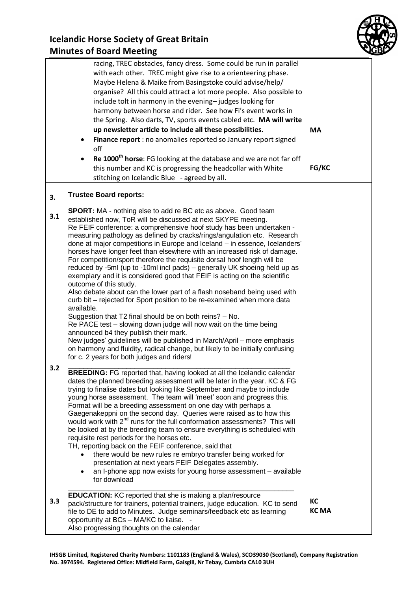

|            | racing, TREC obstacles, fancy dress. Some could be run in parallel<br>with each other. TREC might give rise to a orienteering phase.<br>Maybe Helena & Maike from Basingstoke could advise/help/<br>organise? All this could attract a lot more people. Also possible to<br>include tolt in harmony in the evening-judges looking for<br>harmony between horse and rider. See how Fi's event works in<br>the Spring. Also darts, TV, sports events cabled etc. MA will write<br>up newsletter article to include all these possibilities.<br>Finance report : no anomalies reported so January report signed<br>off<br>Re 1000 <sup>th</sup> horse: FG looking at the database and we are not far off<br>this number and KC is progressing the headcollar with White<br>stitching on Icelandic Blue - agreed by all.                                                                                                                                                                                                                                                                                                                                                                                                                                                                                                                                         | <b>MA</b><br>FG/KC |  |
|------------|--------------------------------------------------------------------------------------------------------------------------------------------------------------------------------------------------------------------------------------------------------------------------------------------------------------------------------------------------------------------------------------------------------------------------------------------------------------------------------------------------------------------------------------------------------------------------------------------------------------------------------------------------------------------------------------------------------------------------------------------------------------------------------------------------------------------------------------------------------------------------------------------------------------------------------------------------------------------------------------------------------------------------------------------------------------------------------------------------------------------------------------------------------------------------------------------------------------------------------------------------------------------------------------------------------------------------------------------------------------|--------------------|--|
| 3.         | <b>Trustee Board reports:</b>                                                                                                                                                                                                                                                                                                                                                                                                                                                                                                                                                                                                                                                                                                                                                                                                                                                                                                                                                                                                                                                                                                                                                                                                                                                                                                                                |                    |  |
| 3.1<br>3.2 | <b>SPORT:</b> MA - nothing else to add re BC etc as above. Good team<br>established now, ToR will be discussed at next SKYPE meeting.<br>Re FEIF conference: a comprehensive hoof study has been undertaken -<br>measuring pathology as defined by cracks/rings/angulation etc. Research<br>done at major competitions in Europe and Iceland - in essence, Icelanders'<br>horses have longer feet than elsewhere with an increased risk of damage.<br>For competition/sport therefore the requisite dorsal hoof length will be<br>reduced by -5ml (up to -10ml incl pads) - generally UK shoeing held up as<br>exemplary and it is considered good that FEIF is acting on the scientific<br>outcome of this study.<br>Also debate about can the lower part of a flash noseband being used with<br>curb bit - rejected for Sport position to be re-examined when more data<br>available.<br>Suggestion that T2 final should be on both reins? - No.<br>Re PACE test - slowing down judge will now wait on the time being<br>announced b4 they publish their mark.<br>New judges' guidelines will be published in March/April - more emphasis<br>on harmony and fluidity, radical change, but likely to be initially confusing<br>for c. 2 years for both judges and riders!<br><b>BREEDING:</b> FG reported that, having looked at all the Icelandic calendar |                    |  |
| 3.3        | dates the planned breeding assessment will be later in the year. KC & FG<br>trying to finalise dates but looking like September and maybe to include<br>young horse assessment. The team will 'meet' soon and progress this.<br>Format will be a breeding assessment on one day with perhaps a<br>Gaegenakeppni on the second day. Queries were raised as to how this<br>would work with 2 <sup>nd</sup> runs for the full conformation assessments? This will<br>be looked at by the breeding team to ensure everything is scheduled with<br>requisite rest periods for the horses etc.<br>TH, reporting back on the FEIF conference, said that<br>there would be new rules re embryo transfer being worked for<br>presentation at next years FEIF Delegates assembly.<br>an I-phone app now exists for young horse assessment - available<br>for download<br><b>EDUCATION:</b> KC reported that she is making a plan/resource<br>pack/structure for trainers, potential trainers, judge education. KC to send                                                                                                                                                                                                                                                                                                                                              | КC                 |  |
|            | file to DE to add to Minutes. Judge seminars/feedback etc as learning<br>opportunity at BCs - MA/KC to liaise. -<br>Also progressing thoughts on the calendar                                                                                                                                                                                                                                                                                                                                                                                                                                                                                                                                                                                                                                                                                                                                                                                                                                                                                                                                                                                                                                                                                                                                                                                                | <b>KCMA</b>        |  |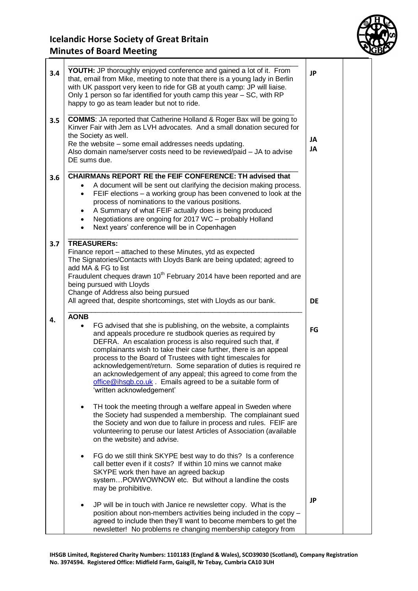

| 3.4<br>3.5 | YOUTH: JP thoroughly enjoyed conference and gained a lot of it. From<br>that, email from Mike, meeting to note that there is a young lady in Berlin<br>with UK passport very keen to ride for GB at youth camp: JP will liaise.<br>Only 1 person so far identified for youth camp this year - SC, with RP<br>happy to go as team leader but not to ride.<br><b>COMMS:</b> JA reported that Catherine Holland & Roger Bax will be going to<br>Kinver Fair with Jem as LVH advocates. And a small donation secured for<br>the Society as well.<br>Re the website – some email addresses needs updating.<br>Also domain name/server costs need to be reviewed/paid - JA to advise<br>DE sums due.                                                                                                                                                                                     |    |  |
|------------|------------------------------------------------------------------------------------------------------------------------------------------------------------------------------------------------------------------------------------------------------------------------------------------------------------------------------------------------------------------------------------------------------------------------------------------------------------------------------------------------------------------------------------------------------------------------------------------------------------------------------------------------------------------------------------------------------------------------------------------------------------------------------------------------------------------------------------------------------------------------------------|----|--|
| 3.6        | CHAIRMANs REPORT RE the FEIF CONFERENCE: TH advised that<br>A document will be sent out clarifying the decision making process.<br>FEIF elections - a working group has been convened to look at the<br>٠<br>process of nominations to the various positions.<br>A Summary of what FEIF actually does is being produced<br>Negotiations are ongoing for 2017 WC - probably Holland<br>$\bullet$<br>Next years' conference will be in Copenhagen<br>$\bullet$                                                                                                                                                                                                                                                                                                                                                                                                                       |    |  |
| 3.7        | <b>TREASURERs:</b><br>Finance report – attached to these Minutes, ytd as expected<br>The Signatories/Contacts with Lloyds Bank are being updated; agreed to<br>add MA & FG to list<br>Fraudulent cheques drawn 10 <sup>th</sup> February 2014 have been reported and are<br>being pursued with Lloyds<br>Change of Address also being pursued<br>All agreed that, despite shortcomings, stet with Lloyds as our bank.                                                                                                                                                                                                                                                                                                                                                                                                                                                              | DE |  |
| 4.         | <b>AONB</b><br>FG advised that she is publishing, on the website, a complaints<br>$\bullet$<br>and appeals procedure re studbook queries as required by<br>DEFRA. An escalation process is also required such that, if<br>complainants wish to take their case further, there is an appeal<br>process to the Board of Trustees with tight timescales for<br>acknowledgement/return. Some separation of duties is required re<br>an acknowledgement of any appeal; this agreed to come from the<br>office@ihsgb.co.uk Emails agreed to be a suitable form of<br>'written acknowledgement'<br>TH took the meeting through a welfare appeal in Sweden where<br>$\bullet$<br>the Society had suspended a membership. The complainant sued<br>the Society and won due to failure in process and rules. FEIF are<br>volunteering to peruse our latest Articles of Association (available | FG |  |
|            | on the website) and advise.<br>FG do we still think SKYPE best way to do this? Is a conference<br>$\bullet$<br>call better even if it costs? If within 10 mins we cannot make<br>SKYPE work then have an agreed backup<br>systemPOWWOWNOW etc. But without a landline the costs<br>may be prohibitive.<br>JP will be in touch with Janice re newsletter copy. What is the<br>$\bullet$<br>position about non-members activities being included in the copy -<br>agreed to include then they'll want to become members to get the                                                                                                                                                                                                                                                                                                                                                   | JP |  |